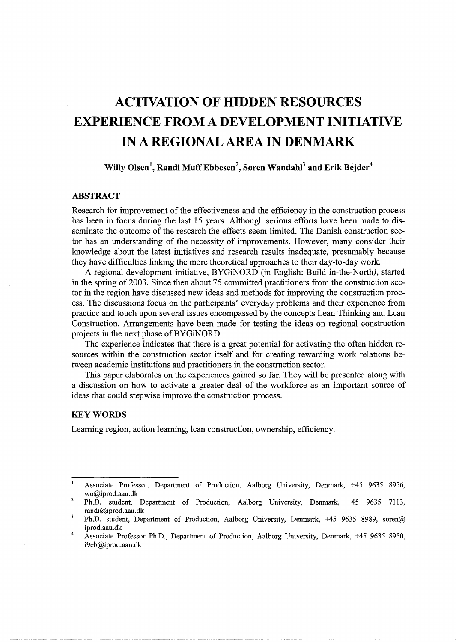# **ACTIVATION OF HIDDEN RESOURCES EXPERIENCE FROM A DEVELOPMENT INITIATIVE IN A REGIONAL AREA IN DENMARK**

 $\textbf{Willy Olsen}^1, \textbf{Randi Muff Ebbesen}^2, \textbf{Søren Wandahl}^3 \textbf{ and Erik Bejder}^4$ 

## **ABSTRACT**

Research for improvement of the effectiveness and the efficiency in the construction process has been in focus during the last 15 years. Although serious efforts have been made to disseminate the outcome of the research the effects seem limited. The Danish construction sector has an understanding of the necessity of improvements. However, many consider their knowledge about the latest initiatives and research results inadequate, presumably because they have difficulties linking the more theoretical approaches to their day-to-day work.

A regional development initiative, BYGiNORD (in English: Build-in-the-North), started in the spring of 2003. Since then about 75 committed practitioners from the construction sector in the region have discussed new ideas and methods for improving the construction process. The discussions focus on the participants' everyday problems and their experience from practice and touch upon several issues encompassed by the concepts Lean Thinking and Lean Construction. Arrangements have been made for testing the ideas on regional construction projects in the next phase of BYGiNORD.

The experience indicates that there is a great potential for activating the often hidden resources within the construction sector itself and for creating rewarding work relations between academic institutions and practitioners in the construction sector.

This paper elaborates on the experiences gained so far. They will be presented along with a discussion on how to activate a greater deal of the workforce as an important source of ideas that could stepwise improve the construction process.

### **KEYWORDS**

Learning region, action learning, lean construction, ownership, efficiency.

 $\mathbf{I}$ Associate Professor, Department of Production, Aalborg University, Denmark, +45 9635 8956, wo@iprod.aau.dk 2

Ph.D. student, Department of Production, Aalborg University, Denmark, +45 9635 7113, randi@iprod.aau.dk  $\overline{\mathbf{3}}$ 

<sup>4</sup>  Ph.D. student, Department of Production, Aalborg University, Denmark, +45 9635 8989, soren@ iprod.aau.dk

Associate Professor Ph.D., Department of Production, Aalborg University, Denmark, +45 9635 8950, i9eb@iprod.aau.dk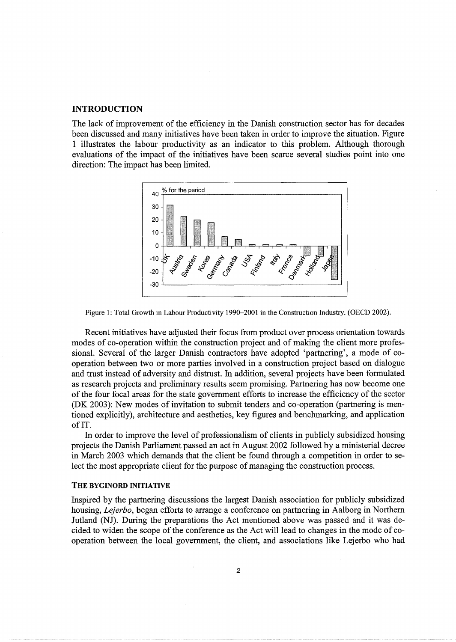#### **INTRODUCTION**

The lack of improvement of the efficiency in the Danish construction sector has for decades been discussed and many initiatives have been taken in order to improve the situation. Figure 1 illustrates the labour productivity as an indicator to this problem. Although thorough evaluations of the impact of the initiatives have been scarce several studies point into one direction: The impact has been limited.





Recent initiatives have adjusted their focus from product over process orientation towards modes of co-operation within the construction project and of making the client more professional. Several of the larger Danish contractors have adopted 'partnering', a mode of cooperation between two or more parties involved in a construction project based on dialogue and trust instead of adversity and distrust. In addition, several projects have been formulated as research projects and preliminary results seem promising. Partnering has now become one of the four focal areas for the state government efforts to increase the efficiency of the sector (DK 2003): New modes of invitation to submit tenders and co-operation (partnering is mentioned explicitly), architecture and aesthetics, key figures and benchmarking, and application of IT.

In order to improve the level of professionalism of clients in publicly subsidized housing projects the Danish Parliament passed an act in August 2002 followed by a ministerial decree in March 2003 which demands that the client be found through a competition in order to select the most appropriate client for the purpose of managing the construction process.

#### THE BYGINORD INITIATIVE

Inspired by the partnering discussions the largest Danish association for publicly subsidized housing, *Lejerbo,* began efforts to arrange a conference on partnering in Aalborg in Northern Jutland (NJ). During the preparations the Act mentioned above was passed and it was decided to widen the scope of the conference as the Act will lead to changes in the mode of cooperation between the local government, the client, and associations like Lejerbo who had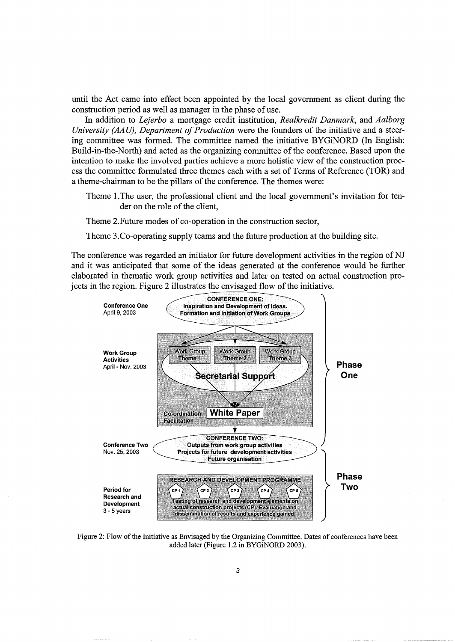until the Act came into effect been appointed by the local government as client during the construction period as well as manager in the phase of use.

In addition to *Lejerbo* a mortgage credit institution, *Realkredit Danmark,* and *Aalborg University (AA U), Department of Production* were the founders of the initiative and a steering committee was formed. The committee named the initiative BYGiNORD (In English: Build-in-the-North) and acted as the organizing committee of the conference. Based upon the intention to make the involved parties achieve a more holistic view of the construction process the committee formulated three themes each with a set of Terms of Reference (TOR) and a theme-chairman to be the pillars of the conference. The themes were:

Theme l.The user, the professional client and the local government's invitation for tender on the role of the client,

Theme 2.Future modes of co-operation in the construction sector,

Theme 3.Co-operating supply teams and the future production at the building site.

The conference was regarded an initiator for future development activities in the region of NJ and it was anticipated that some of the ideas generated at the conference would be further elaborated in thematic work group activities and later on tested on actual construction projects in the region. Figure 2 illustrates the envisaged flow of the initiative.



Figure 2: Flow of the Initiative as Envisaged by the Organizing Committee. Dates of conferences have been added later (Figure 1.2 in BYGiNORD 2003).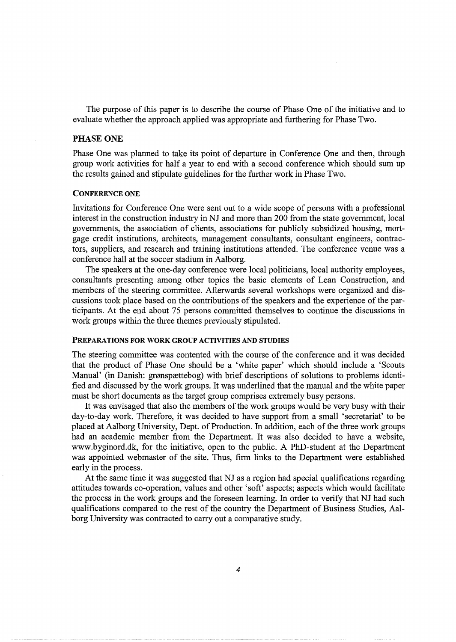The purpose of this paper is to describe the course of Phase One of the initiative and to evaluate whether the approach applied was appropriate and furthering for Phase Two.

#### PHASE ONE

Phase One was planned to take its point of departure in Conference One and then, through group work activities for half a year to end with a second conference which should sum up the results gained and stipulate guidelines for the further work in Phase Two.

#### CONFERENCE ONE

Invitations for Conference One were sent out to a wide scope of persons with a professional interest in the construction industry in NJ and more than 200 from the state government, local governments, the association of clients, associations for publicly subsidized housing, mortgage credit institutions, architects, management consultants, consultant engineers, contractors, suppliers, and research and training institutions attended. The conference venue was a conference hall at the soccer stadium in Aalborg.

The speakers at the one-day conference were local politicians, local authority employees, consultants presenting among other topics the basic elements of Lean Construction, and members of the steering committee. Afterwards several workshops were organized and discussions took place based on the contributions of the speakers and the experience of the participants. At the end about 75 persons committed themselves to continue the discussions in work groups within the three themes previously stipulated.

#### PREPARATIONS FOR WORK GROUP ACTIVITIES AND STUDIES

The steering committee was contented with the course of the conference and it was decided that the product of Phase One should be a 'white paper' which should include a 'Scouts Manual' (in Danish: grønspættebog) with brief descriptions of solutions to problems identified and discussed by the work groups. It was underlined that the manual and the white paper must be short documents as the target group comprises extremely busy persons.

It was envisaged that also the members of the work groups would be very busy with their day-to-day work. Therefore, it was decided to have support from a small 'secretariat' to be placed at Aalborg University, Dept. of Production. In addition, each of the three work groups had an academic member from the Department. It was also decided to have a website, www.byginord.dk, for the initiative, open to the public. A PhD-student at the Department was appointed webmaster of the site. Thus, firm links to the Department were established early in the process.

At the same time it was suggested that NJ as a region had special qualifications regarding attitudes towards co-operation, values and other 'soft' aspects; aspects which would facilitate the process in the work groups and the foreseen learning. In order to verify that NJ had such qualifications compared to the rest of the country the Department of Business Studies, Aalborg University was contracted to carry out a comparative study.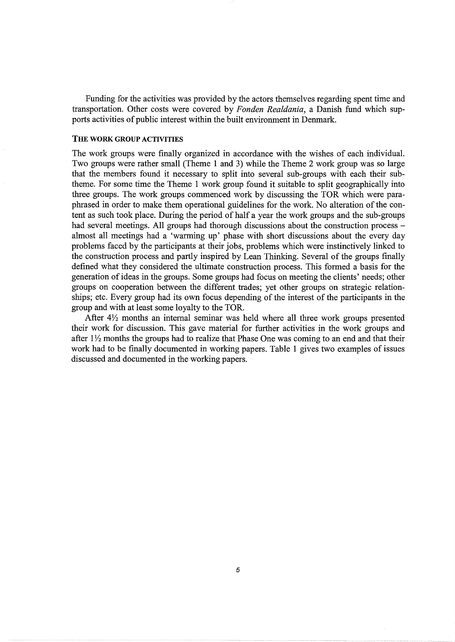Funding for the activities was provided by the actors themselves regarding spent time and transportation. Other costs were covered by *F onden Rea/dania,* a Danish fund which supports activities of public interest within the built environment in Denmark.

## **THE WORK GROUP** ACTIVITIES

The work groups were finally organized in accordance with the wishes of each individual. Two groups were rather small (Theme 1 and 3) while the Theme 2 work group was so large that the members found it necessary to split into several sub-groups with each their subtheme. For some time the Theme 1 work group found it suitable to split geographically into three groups. The work groups commenced work by discussing the TOR which were paraphrased in order to make them operational guidelines for the work. No alteration of the content as such took place. During the period of half a year the work groups and the sub-groups had several meetings. All groups had thorough discussions about the construction process almost all meetings had a 'warming up' phase with short discussions about the every day problems faced by the participants at their jobs, problems which were instinctively linked to the construction process and partly inspired by Lean Thinking. Several of the groups finally defined what they considered the ultimate construction process. This formed a basis for the generation of ideas in the groups. Some groups had focus on meeting the clients' needs; other groups on cooperation between the different trades; yet other groups on strategic relationships; etc. Every group had its own focus depending of the interest of the participants in the group and with at least some loyalty to the TOR.

After *4Yz* months an internal seminar was held where all three work groups presented their work for discussion. This gave material for further activities in the work groups and after 1<sup>1</sup>/<sub>2</sub> months the groups had to realize that Phase One was coming to an end and that their work had to be finally documented in working papers. Table 1 gives two examples of issues discussed and documented in the working papers.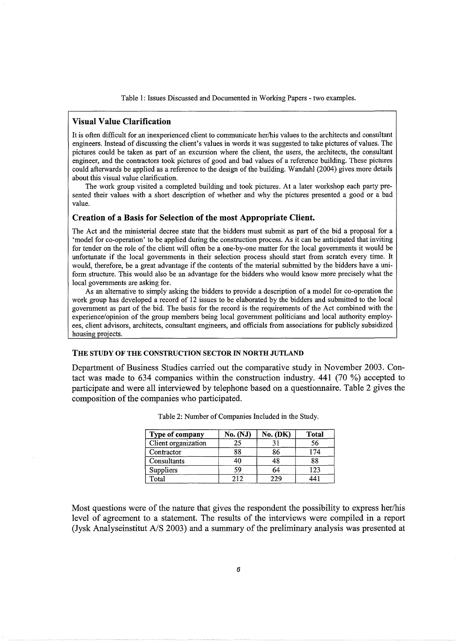Table 1: Issues Discussed and Documented in Working Papers - two examples.

# Visual Value Clarification

It is often difficult for an inexperienced client to communicate her/his values to the architects and consultant engineers. Instead of discussing the client's values in words it was suggested to take pictures of values. The pictures could be taken as part of an excursion where the client, the users, the architects, the consultant engineer, and the contractors took pictures of good and bad values of a reference building. These pictures could afterwards be applied as a reference to the design of the building. Wandahl (2004) gives more details about this visual value clarification.

The work group visited a completed building and took pictures. At a later workshop each party presented their values with a short description of whether and why the pictures presented a good or a bad value.

#### Creation of a Basis for Selection of the most Appropriate Client.

The Act and the ministerial decree state that the bidders must submit as part of the bid a proposal for a 'model for co-operation' to be applied during the construction process. As it can be anticipated that inviting for tender on the role of the client will often be a one-by-one matter for the local governments it would be unfortunate if the local governments in their selection process should start from scratch every time. It would, therefore, be a great advantage if the contents of the material submitted by the bidders have a uniform structure. This would also be an advantage for the bidders who would know more precisely what the local governments are asking for.

As an alternative to simply asking the bidders to provide a description of a model for co-operation the work group has developed a record of 12 issues to be elaborated by the bidders and submitted to the local government as part of the bid. The basis for the record is the requirements of the Act combined with the experience/opinion of the group members being local government politicians and local authority employees, client advisors, architects, consultant engineers, and officials from associations for publicly subsidized housing projects.

#### THE STUDY OF THE CONSTRUCTION SECTOR IN NORTH JUTLAND

Department of Business Studies carried out the comparative study in November 2003. Contact was made to 634 companies within the construction industry. 441 (70 %) accepted to participate and were all interviewed by telephone based on a questionnaire. Table 2 gives the composition of the companies who participated.

| Type of company     | <b>No. (NJ)</b> | $No.$ (DK) | <b>Total</b> |
|---------------------|-----------------|------------|--------------|
| Client organization | 25              |            | 56           |
| Contractor          | 88              | 86         |              |
| Consultants         | 40              | 48         | 88           |
| Suppliers           | 59              | 64         | 123          |
| Total               |                 | 229        |              |

Table 2: Number of Companies Included in the Study.

Most questions were of the nature that gives the respondent the possibility to express her/his level of agreement to a statement. The results of the interviews were compiled in a report (Jysk Analyseinstitut A/S 2003) and a summary of the preliminary analysis was presented at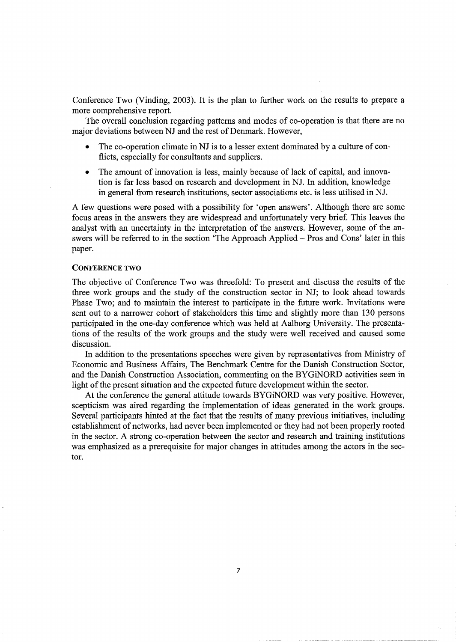Conference Two (Vinding, 2003). It is the plan to further work on the results to prepare a more comprehensive report.

The overall conclusion regarding patterns and modes of co-operation is that there are no major deviations between NJ and the rest of Denmark. However,

- The co-operation climate in NJ is to a lesser extent dominated by a culture of conflicts, especially for consultants and suppliers.
- The amount of innovation is less, mainly because of lack of capital, and innovation is far less based on research and development in NJ. In addition, knowledge in general from research institutions, sector associations etc. is less utilised in NJ.

A few questions were posed with a possibility for 'open answers'. Although there are some focus areas in the answers they are widespread and unfortunately very brief. This leaves the analyst with an uncertainty in the interpretation of the answers. However, some of the answers will be referred to in the section 'The Approach Applied- Pros and Cons' later in this paper.

#### CONFERENCE **TWO**

The objective of Conference Two was threefold: To present and discuss the results of the three work groups and the study of the construction sector in NJ; to look ahead towards Phase Two; and to maintain the interest to participate in the future work. Invitations were sent out to a narrower cohort of stakeholders this time and slightly more than 130 persons participated in the one-day conference which was held at Aalborg University. The presentations of the results of the work groups and the study were well received and caused some discussion.

In addition to the presentations speeches were given by representatives from Ministry of Economic and Business Affairs, The Benchmark Centre for the Danish Construction Sector, and the Danish Construction Association, commenting on the BYGiNORD activities seen in light of the present situation and the expected future development within the sector.

At the conference the general attitude towards BYGiNORD was very positive. However, scepticism was aired regarding the implementation of ideas generated in the work groups. Several participants hinted at the fact that the results of many previous initiatives, including establishment of networks, had never been implemented or they had not been properly rooted in the sector. A strong co-operation between the sector and research and training institutions was emphasized as a prerequisite for major changes in attitudes among the actors in the sector.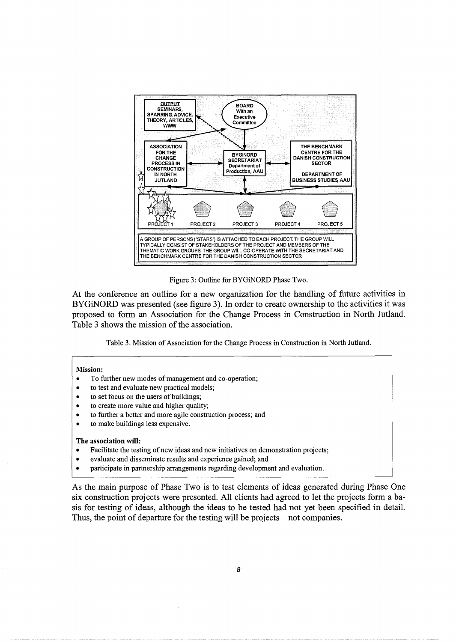

Figure 3: Outline for BYGiNORD Phase Two.

At the conference an outline for a new organization for the handling of future activities in BYGiNORD was presented (see figure 3). In order to create ownership to the activities it was proposed to form an Association for the Change Process in Construction in North Jutland. Table 3 shows the mission of the association.

Table 3. Mission of Association for the Change Process in Construction in North Jutland.

#### Mission:

- To further new modes of management and co-operation;
- to test and evaluate new practical models;
- to set focus on the users of buildings;
- to create more value and higher quality;
- to further a better and more agile construction process; and
- to make buildings less expensive.

#### The association will:

- Facilitate the testing of new ideas and new initiatives on demonstration projects;
- evaluate and disseminate results and experience gained; and
- participate in partnership arrangements regarding development and evaluation.

As the main purpose of Phase Two is to test elements of ideas generated during Phase One six construction projects were presented. All clients had agreed to let the projects form a basis for testing of ideas, although the ideas to be tested had not yet been specified in detail. Thus, the point of departure for the testing will be projects – not companies.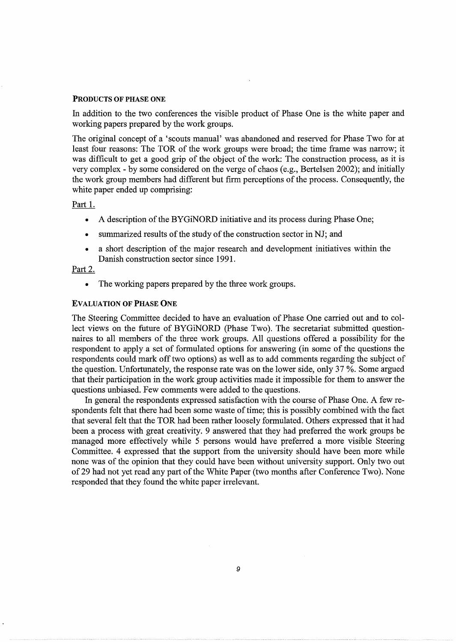#### PRODUCTS OF PHASE ONE

In addition to the two conferences the visible product of Phase One is the white paper and working papers prepared by the work groups.

The original concept of a 'scouts manual' was abandoned and reserved for Phase Two for at least four reasons: The TOR of the work groups were broad; the time frame was narrow; it was difficult to get a good grip of the object of the work: The construction process, as it is very complex - by some considered on the verge of chaos (e.g., Bertelsen 2002); and initially the work group members had different but firm perceptions of the process. Consequently, the white paper ended up comprising:

## Part 1.

- A description of the BYGiNORD initiative and its process during Phase One;
- summarized results of the study of the construction sector in NJ; and
- a short description of the major research and development initiatives within the Danish construction sector since 1991.

# Part 2.

• The working papers prepared by the three work groups.

## EVALUATION OF PHASE ONE

The Steering Committee decided to have an evaluation of Phase One carried out and to collect views on the future of BYGiNORD (Phase Two). The secretariat submitted questionnaires to all members of the three work groups. All questions offered a possibility for the respondent to apply a set of formulated options for answering (in some of the questions the respondents could mark off two options) as well as to add comments regarding the subject of the question. Unfortunately, the response rate was on the lower side, only  $37\%$ . Some argued that their participation in the work group activities made it impossible for them to answer the questions unbiased. Few comments were added to the questions.

In general the respondents expressed satisfaction with the course of Phase One. A few respondents felt that there had been some waste of time; this is possibly combined with the fact that several felt that the TOR had been rather loosely formulated. Others expressed that it had been a process with great creativity. 9 answered that they had preferred the work groups be managed more effectively while 5 persons would have preferred a more visible Steering Committee. 4 expressed that the support from the university should have been more while none was of the opinion that they could have been without university support. Only two out of29 had not yet read any part of the White Paper (two months after Conference Two). None responded that they found the white paper irrelevant.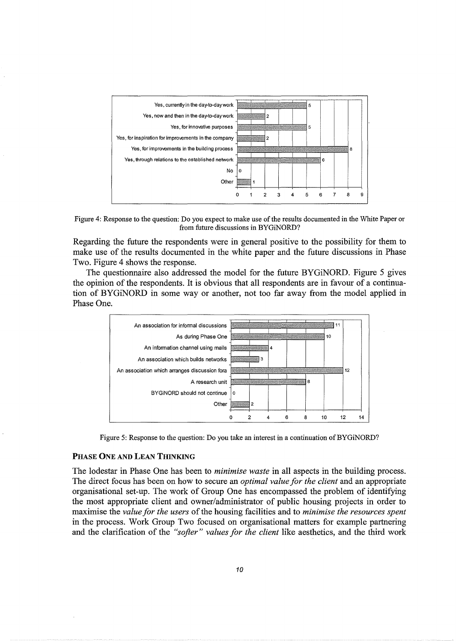

Figure 4: Response to the question: Do you expect to make use of the results documented in the White Paper or from future discussions in BYGiNORD?

Regarding the future the respondents were in general positive to the possibility for them to make use of the results documented in the white paper and the future discussions in Phase Two. Figure 4 shows the response.

The questionnaire also addressed the model for the future BYGiNORD. Figure 5 gives the opinion of the respondents. It is obvious that all respondents are in favour of a continuation of BYGiNORD in some way or another, not too far away from the model applied in Phase One.



Figure 5: Response to the question: Do you take an interest in a continuation of BYGiNORD?

#### PHASE ONE AND LEAN THINKING

The lodestar in Phase One has been to *minimise waste* in all aspects in the building process. The direct focus has been on how to secure an *optimal value for the client* and an appropriate organisational set-up. The work of Group One has encompassed the problem of identifying the most appropriate client and owner/administrator of public housing projects in order to maximise the *value for the users* of the housing facilities and to *minimise the resources spent*  in the process. Work Group Two focused on organisational matters for example partnering and the clarification of the *"softer" values for the client* like aesthetics, and the third work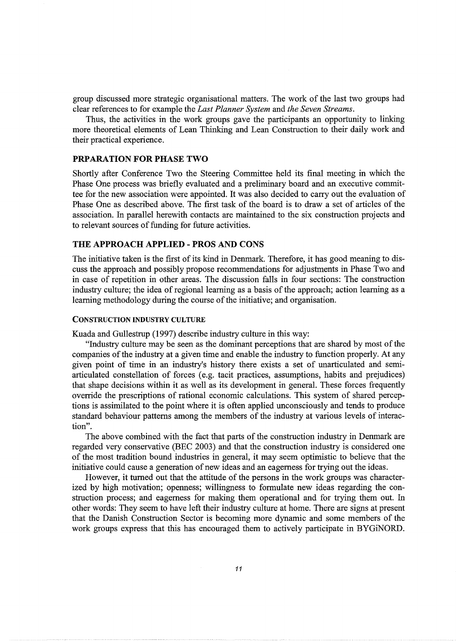group discussed more strategic organisational matters. The work of the last two groups had clear references to for example the *Last Planner System* and *the Seven Streams.* 

Thus, the activities in the work groups gave the participants an opportunity to linking more theoretical elements of Lean Thinking and Lean Construction to their daily work and their practical experience.

#### PRPARATION FOR PHASE TWO

Shortly after Conference Two the Steering Committee held its final meeting in which the Phase One process was briefly evaluated and a preliminary board and an executive committee for the new association were appointed. It was also decided to carry out the evaluation of Phase One as described above. The first task of the board is to draw a set of articles of the association. In parallel herewith contacts are maintained to the six construction projects and to relevant sources of funding for future activities.

### THE APPROACH APPLIED- PROS AND CONS

The initiative taken is the first of its kind in Denmark. Therefore, it has good meaning to discuss the approach and possibly propose recommendations for adjustments in Phase Two and in case of repetition in other areas. The discussion falls in four sections: The construction industry culture; the idea of regional learning as a basis of the approach; action learning as a learning methodology during the course of the initiative; and organisation.

#### CONSTRUCTION INDUSTRY CULTURE

Kuada and Gullestrup (1997) describe industry culture in this way:

"Industry culture may be seen as the dominant perceptions that are shared by most of the companies of the industry at a given time and enable the industry to function properly. At any given point of time in an industry's history there exists a set of unarticulated and semiarticulated constellation of forces (e.g. tacit practices, assumptions, habits and prejudices) that shape decisions within it as well as its development in general. These forces frequently override the prescriptions of rational economic calculations. This system of shared perceptions is assimilated to the point where it is often applied unconsciously and tends to produce standard behaviour patterns among the members of the industry at various levels of interaction".

The above combined with the fact that parts of the construction industry in Denmark are regarded very conservative (BEC 2003) and that the construction industry is considered one of the most tradition bound industries in general, it may seem optimistic to believe that the initiative could cause a generation of new ideas and an eagerness for trying out the ideas.

However, it turned out that the attitude of the persons in the work groups was characterized by high motivation; openness; willingness to formulate new ideas regarding the construction process; and eagerness for making them operational and for trying them out. In other words: They seem to have left their industry culture at home. There are signs at present that the Danish Construction Sector is becoming more dynamic and some members of the work groups express that this has encouraged them to actively participate in BYGiNORD.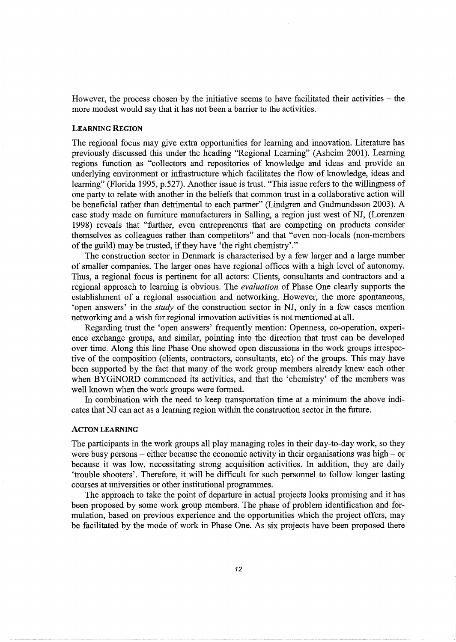However, the process chosen by the initiative seems to have facilitated their activities – the more modest would say that it has not been a barrier to the activities.

#### LEARNING REGION

The regional focus may give extra opportunities for learning and innovation. Literature has previously discussed this under the heading "Regional Learning" (Asheim 2001). Learning regions function as "collectors and repositories of knowledge and ideas and provide an underlying environment or infrastructure which facilitates the flow of knowledge, ideas and learning" (Florida 1995, p.527). Another issue is trust. "This issue refers to the willingness of one party to relate with another in the beliefs that common trust in a collaborative action will be beneficial rather than detrimental to each partner" (Lindgren and Gudmundsson 2003). A case study made on furniture manufacturers in Salling, a region just west of NJ, (Lorenzen 1998) reveals that "further, even entrepreneurs that are competing on products consider themselves as colleagues rather than competitors" and that "even non-locals (non-members of the guild) may be trusted, if they have 'the right chemistry'."

The construction sector in Denmark is characterised by a few larger and a large number of smaller companies. The larger ones have regional offices with a high level of autonomy. Thus, a regional focus is pertinent for all actors: Clients, consultants and contractors and a regional approach to learning is obvious. The *evaluation* of Phase One clearly supports the establishment of a regional association and networking. However, the more spontaneous, 'open answers' in the *study* of the construction sector in NJ, only in a few cases mention networking and a wish for regional innovation activities is not mentioned at all.

Regarding trust the 'open answers' frequently mention: Openness, co-operation, experience exchange groups, and similar, pointing into the direction that trust can be developed over time. Along this line Phase One showed open discussions in the work groups irrespective of the composition (clients, contractors, consultants, etc) of the groups. This may have been supported by the fact that many of the work group members already knew each other when BYGiNORD commenced its activities, and that the 'chemistry' of the members was well known when the work groups were formed.

In combination with the need to keep transportation time at a minimum the above indicates that NJ can act as a learning region within the construction sector in the future.

#### ACTON LEARNING

The participants in the work groups all play managing roles in their day-to-day work, so they were busy persons – either because the economic activity in their organisations was high – or because it was low, necessitating strong acquisition activities. In addition, they are daily 'trouble shooters'. Therefore, it will be difficult for such personnel to follow longer lasting courses at universities or other institutional programmes.

The approach to take the point of departure in actual projects looks promising and it has been proposed by some work group members. The phase of problem identification and formulation, based on previous experience and the opportunities which the project offers, may be facilitated by the mode of work in Phase One. As six projects have been proposed there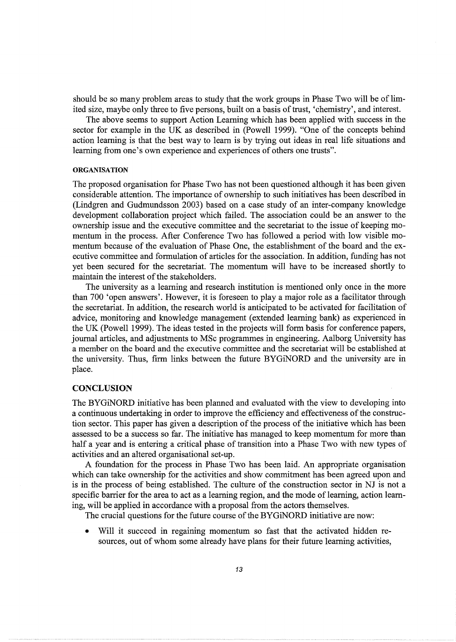should be so many problem areas to study that the work groups in Phase Two will be of limited size, maybe only three to five persons, built on a basis of trust, 'chemistry', and interest.

The above seems to support Action Learning which has been applied with success in the sector for example in the UK as described in (Powell 1999). "One of the concepts behind action learning is that the best way to learn is by trying out ideas in real life situations and learning from one's own experience and experiences of others one trusts".

#### **ORGANISATION**

The proposed organisation for Phase Two has not been questioned although it has been given considerable attention. The importance of ownership to such initiatives has been described in (Lindgren and Gudmundsson 2003) based on a case study of an inter-company knowledge development collaboration project which failed. The association could be an answer to the ownership issue and the executive committee and the secretariat to the issue of keeping momentum in the process. After Conference Two has followed a period with low visible momentum because of the evaluation of Phase One, the establishment of the board and the executive committee and formulation of articles for the association. In addition, funding has not yet been secured for the secretariat. The momentum will have to be increased shortly to maintain the interest of the stakeholders.

The university as a learning and research institution is mentioned only once in the more than 700 'open answers'. However, it is foreseen to play a major role as a facilitator through the secretariat. In addition, the research world is anticipated to be activated for facilitation of advice, monitoring and knowledge management (extended learning bank) as experienced in the UK (Powell 1999). The ideas tested in the projects will form basis for conference papers, journal articles, and adjustments to MSc programmes in engineering. Aalborg University has a member on the board and the executive committee and the secretariat will be established at the university. Thus, firm links between the future BYGiNORD and the university are in place.

## **CONCLUSION**

The BYGiNORD initiative has been planned and evaluated with the view to developing into a continuous undertaking in order to improve the efficiency and effectiveness of the construction sector. This paper has given a description of the process of the initiative which has been assessed to be a success so far. The initiative has managed to keep momentum for more than half a year and is entering a critical phase of transition into a Phase Two with new types of activities and an altered organisational set-up.

A foundation for the process in Phase Two has been laid. An appropriate organisation which can take ownership for the activities and show commitment has been agreed upon and is in the process of being established. The culture of the construction sector in NJ is not a specific barrier for the area to act as a learning region, and the mode of learning, action learning, will be applied in accordance with a proposal from the actors themselves.

The crucial questions for the future course of the BYGiNORD initiative are now:

Will it succeed in regaining momentum so fast that the activated hidden resources, out of whom some already have plans for their future learning activities,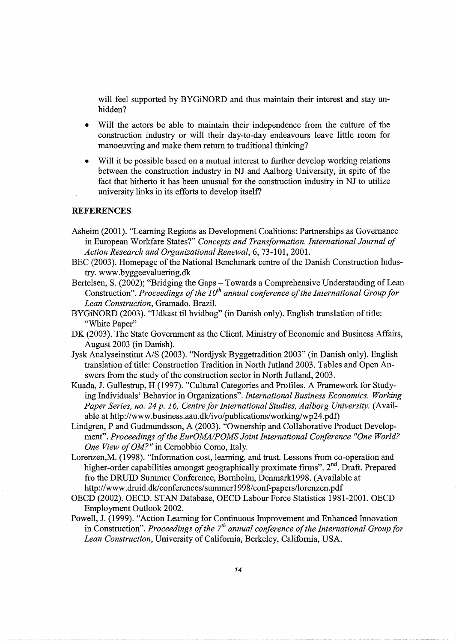will feel supported by BYGiNORD and thus maintain their interest and stay unhidden?

- Will the actors be able to maintain their independence from the culture of the construction industry or will their day-to-day endeavours leave little room for manoeuvring and make them return to traditional thinking?
- Will it be possible based on a mutual interest to further develop working relations between the construction industry in NJ and Aalborg University, in spite of the fact that hitherto it has been unusual for the construction industry in NJ to utilize university links in its efforts to develop itself?

# **REFERENCES**

- Asheim (2001). "Learning Regions as Development Coalitions: Partnerships as Governance in European Workfare States?" *Concepts and Transformation. International Journal of Action Research and Organizational Renewal,* 6, 73-101, 2001.
- BEC (2003). Homepage of the National Benchmark centre of the Danish Construction Industry. www.byggeevaluering.dk
- Bertelsen, S. (2002); "Bridging the Gaps- Towards a Comprehensive Understanding of Lean Construction". *Proceedings of the 10<sup>th</sup> annual conference of the International Group for Lean Construction,* Gramado, Brazil.
- BYGiNORD (2003). "Udkast til hvidbog" (in Danish only). English translation of title: "White Paper"
- DK (2003). The State Government as the Client. Ministry of Economic and Business Affairs, August 2003 (in Danish).
- Jysk Analyseinstitut A/S (2003). ''Nordjysk Byggetradition 2003" (in Danish only). English translation of title: Construction Tradition in North Jutland 2003. Tables and Open Answers from the study of the construction sector in North Jutland, 2003.
- Kuada, J. Gullestrup, H (1997). "Cultural Categories and Profiles. A Framework for Studying Individuals' Behavior in Organizations". *International Business Economics. Working*  Paper Series, no. 24 p. 16, Centre for International Studies, Aalborg University. (Available at http://www.business.aau.dk/ivo/publications/working/wp24.pdf)
- Lindgren, P and Gudmundsson, A (2003). "Ownership and Collaborative Product Development". *Proceedings of the EurOMAIPOMS Joint International Conference "One World? One View of OM?"* in Cernobbio Como, Italy.
- Lorenzen,M. (1998). "Information cost, learning, and trust. Lessons from co-operation and higher-order capabilities amongst geographically proximate firms". 2<sup>nd</sup>. Draft. Prepared fro the DRUID Summer Conference, Bornholm, Denmark1998. (Available at http://www.druid.dk/conferences/summer1998/conf-papers/lorenzen.pdf
- OECD (2002). OECD. STAN Database, OECD Labour Force Statistics 1981-2001. OECD Employment Outlook 2002.
- Powell, J. (1999). "Action Learning for Continuous Improvement and Enhanced Innovation in Construction". *Proceedings of the 7<sup>th</sup> annual conference of the International Group for Lean Construction,* University of California, Berkeley, California, USA.